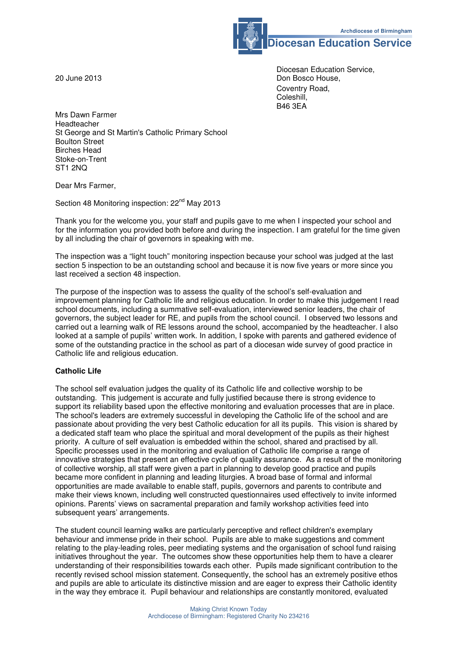**Archdiocese of Birmingham** 

**Diocesan Education Service** 

 Diocesan Education Service, 20 June 2013 **Don Bosco House, Except Act 2013**  Coventry Road, Coleshill,<br>B46 3EA B46 3EA

Mrs Dawn Farmer Headteacher St George and St Martin's Catholic Primary School Boulton Street Birches Head Stoke-on-Trent ST1 2NQ

Dear Mrs Farmer,

Section 48 Monitoring inspection: 22<sup>nd</sup> May 2013

Thank you for the welcome you, your staff and pupils gave to me when I inspected your school and for the information you provided both before and during the inspection. I am grateful for the time given by all including the chair of governors in speaking with me.

The inspection was a "light touch" monitoring inspection because your school was judged at the last section 5 inspection to be an outstanding school and because it is now five years or more since you last received a section 48 inspection.

The purpose of the inspection was to assess the quality of the school's self-evaluation and improvement planning for Catholic life and religious education. In order to make this judgement I read school documents, including a summative self-evaluation, interviewed senior leaders, the chair of governors, the subject leader for RE, and pupils from the school council. I observed two lessons and carried out a learning walk of RE lessons around the school, accompanied by the headteacher. I also looked at a sample of pupils' written work. In addition, I spoke with parents and gathered evidence of some of the outstanding practice in the school as part of a diocesan wide survey of good practice in Catholic life and religious education.

## **Catholic Life**

The school self evaluation judges the quality of its Catholic life and collective worship to be outstanding. This judgement is accurate and fully justified because there is strong evidence to support its reliability based upon the effective monitoring and evaluation processes that are in place. The school's leaders are extremely successful in developing the Catholic life of the school and are passionate about providing the very best Catholic education for all its pupils. This vision is shared by a dedicated staff team who place the spiritual and moral development of the pupils as their highest priority. A culture of self evaluation is embedded within the school, shared and practised by all. Specific processes used in the monitoring and evaluation of Catholic life comprise a range of innovative strategies that present an effective cycle of quality assurance. As a result of the monitoring of collective worship, all staff were given a part in planning to develop good practice and pupils became more confident in planning and leading liturgies. A broad base of formal and informal opportunities are made available to enable staff, pupils, governors and parents to contribute and make their views known, including well constructed questionnaires used effectively to invite informed opinions. Parents' views on sacramental preparation and family workshop activities feed into subsequent years' arrangements.

The student council learning walks are particularly perceptive and reflect children's exemplary behaviour and immense pride in their school. Pupils are able to make suggestions and comment relating to the play-leading roles, peer mediating systems and the organisation of school fund raising initiatives throughout the year. The outcomes show these opportunities help them to have a clearer understanding of their responsibilities towards each other. Pupils made significant contribution to the recently revised school mission statement. Consequently, the school has an extremely positive ethos and pupils are able to articulate its distinctive mission and are eager to express their Catholic identity in the way they embrace it. Pupil behaviour and relationships are constantly monitored, evaluated